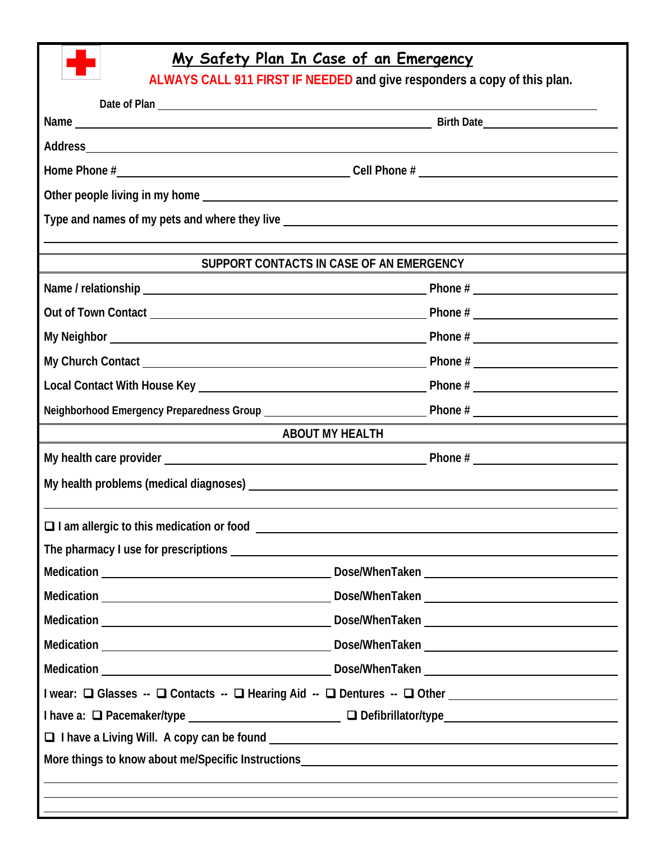

## **My Safety Plan In Case of an Emergency**

**ALWAYS CALL 911 FIRST IF NEEDED and give responders a copy of this plan.** 

|                                                                                   | Address and the contract of the contract of the contract of the contract of the contract of the contract of the contract of the contract of the contract of the contract of the contract of the contract of the contract of th |  |
|-----------------------------------------------------------------------------------|--------------------------------------------------------------------------------------------------------------------------------------------------------------------------------------------------------------------------------|--|
|                                                                                   |                                                                                                                                                                                                                                |  |
|                                                                                   |                                                                                                                                                                                                                                |  |
| Type and names of my pets and where they live ___________________________________ |                                                                                                                                                                                                                                |  |
| SUPPORT CONTACTS IN CASE OF AN EMERGENCY                                          |                                                                                                                                                                                                                                |  |
|                                                                                   |                                                                                                                                                                                                                                |  |
|                                                                                   |                                                                                                                                                                                                                                |  |
|                                                                                   |                                                                                                                                                                                                                                |  |
|                                                                                   |                                                                                                                                                                                                                                |  |
|                                                                                   |                                                                                                                                                                                                                                |  |
|                                                                                   |                                                                                                                                                                                                                                |  |
| <b>ABOUT MY HEALTH</b>                                                            |                                                                                                                                                                                                                                |  |
|                                                                                   |                                                                                                                                                                                                                                |  |
|                                                                                   |                                                                                                                                                                                                                                |  |
|                                                                                   |                                                                                                                                                                                                                                |  |
|                                                                                   |                                                                                                                                                                                                                                |  |
|                                                                                   | Dose/WhenTaken                                                                                                                                                                                                                 |  |
|                                                                                   |                                                                                                                                                                                                                                |  |
|                                                                                   |                                                                                                                                                                                                                                |  |
|                                                                                   |                                                                                                                                                                                                                                |  |
|                                                                                   |                                                                                                                                                                                                                                |  |
|                                                                                   | I wear: □ Glasses -- □ Contacts -- □ Hearing Aid -- □ Dentures -- □ Other _________________________                                                                                                                            |  |
|                                                                                   | I have a: □ Pacemaker/type __________________________________ □ Defibrillator/type ___________________________                                                                                                                 |  |
|                                                                                   |                                                                                                                                                                                                                                |  |
|                                                                                   |                                                                                                                                                                                                                                |  |
|                                                                                   | ,我们也不会有什么。""我们的人,我们也不会有什么?""我们的人,我们也不会有什么?""我们的人,我们也不会有什么?""我们的人,我们也不会有什么?""我们的人<br>,我们也不会有什么。""我们的人,我们也不会有什么?""我们的人,我们也不会有什么?""我们的人,我们也不会有什么?""我们的人,我们也不会有什么?""我们的人                                                           |  |
|                                                                                   |                                                                                                                                                                                                                                |  |